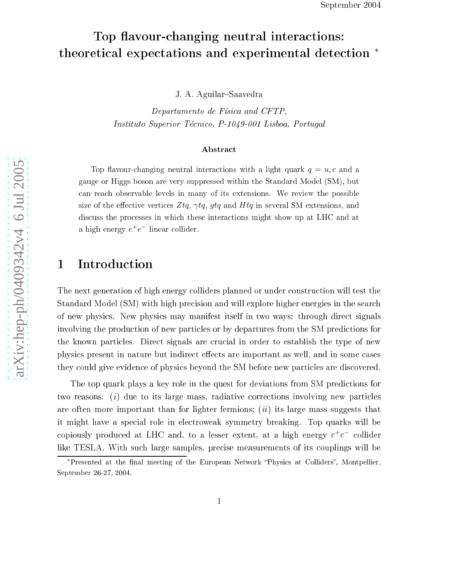# Top flavour-changing neutral interactions: theoretical expectations and experimental detection \*

J. A. Aguilar-Saavedra

Departamento de Físi
a and CFTP, Instituto Superior Técnico, P-1049-001 Lisboa, Portugal

#### **Abstract**

Top flavour-changing neutral interactions with a light quark  $q = u, c$  and a gauge or Higgs boson are very suppressed within the Standard Model (SM), but an rea
h observable levels in many of its extensions. We review the possible size of the effective vertices  $Ztq, \gamma tq, gtq$  and  $Htq$  in several SM extensions, and discuss the processes in which these interactions might show up at LHC and at a high energy  $e^+e^-$  linear collider.

## 1 Introdu
tion

The next generation of high energy colliders planned or under construction will test the Standard Model (SM) with high precision and will explore higher energies in the search of new physi
s. New physi
s may manifest itself in two ways: through dire
t signals involving the produ
tion of new parti
les or by departures from the SM predi
tions for the known parti
les. Dire
t signals are ru
ial in order to establish the type of new physics present in nature but indirect effects are important as well, and in some cases they ould give eviden
e of physi
s beyond the SM before new parti
les are dis
overed.

The top quark plays a key role in the quest for deviations from SM predi
tions for two reasons: ( i ) due to its large mass, radiative orre
tions involving new parti
les are control more interesting that the lighter fermions; (ii) its large mass suggests that it might have a spe
ial role in ele
troweak symmetry breaking. Top quarks will be copiously produced at LHC and, to a lesser extent, at a high energy  $e^+e^-$  collider like TESLA. With such large samples, precise measurements of its couplings will be

<sup>\*</sup>Presented at the final meeting of the European Network "Physics at Colliders", Montpellier, September 26-27, 2004.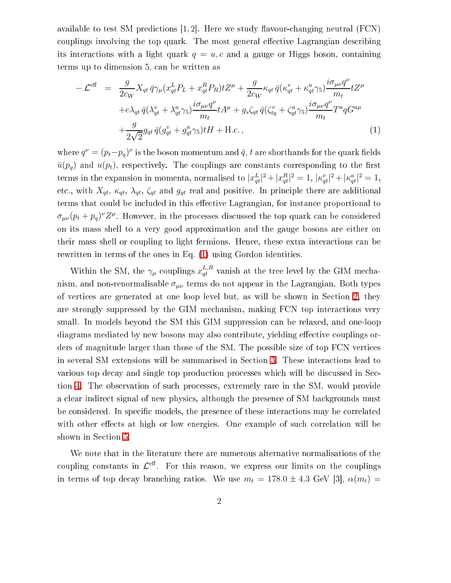available to test SM predictions  $[1, 2]$ . Here we study flavour-changing neutral (FCN) couplings involving the top quark. The most general effective Lagrangian describing its interactions with a light quark  $q = u, c$  and a gauge or Higgs boson, containing terms up to dimension 5, an be written as

<span id="page-1-0"></span>
$$
-\mathcal{L}^{\text{eff}} = \frac{g}{2c_W} X_{qt} \bar{q} \gamma_\mu (x_{qt}^L P_L + x_{qt}^R P_R) t Z^\mu + \frac{g}{2c_W} \kappa_{qt} \bar{q} (\kappa_{qt}^v + \kappa_{qt}^a \gamma_5) \frac{i \sigma_{\mu\nu} q^\nu}{m_t} t Z^\mu
$$

$$
+ e \lambda_{qt} \bar{q} (\lambda_{qt}^v + \lambda_{qt}^a \gamma_5) \frac{i \sigma_{\mu\nu} q^\nu}{m_t} t A^\mu + g_s \zeta_{qt} \bar{q} (\zeta_{tq}^v + \zeta_{qt}^a \gamma_5) \frac{i \sigma_{\mu\nu} q^\nu}{m_t} T^a q G^{a\mu}
$$

$$
+ \frac{g}{2\sqrt{2}} g_{qt} \bar{q} (g_{qt}^v + g_{qt}^a \gamma_5) t H + \text{H.c.} \,, \tag{1}
$$

where  $q^{\nu} = (p_t - p_q)^{\nu}$  is the boson momentum and  $\bar{q}$ ,  $t$  are shorthands for the quark fields  $\bar{u}(p_q)$  and  $u(p_t)$ , respectively. The couplings are constants corresponding to the first terms in the expansion in momenta, normalised to  $|x_{qt}^L|^2 + |x_{qt}^R|^2 = 1$ ,  $|\kappa_{qt}^v|^2 + |\kappa_{qt}^a|^2 = 1$ , etc., with  $X_{qt}$ ,  $\kappa_{qt}$ ,  $\lambda_{qt}$ ,  $\zeta_{qt}$  and  $g_{qt}$  real and positive. In principle there are additional terms that could be included in this effective Lagrangian, for instance proportional to  $\sigma_{\mu\nu}(p_t + p_q)^{\nu} Z^{\mu}$ . However, in the processes discussed the top quark can be considered on its mass shell to a very good approximation and the gauge bosons are either on their mass shell or coupling to light fermions. Hence, these extra interactions can be rewritten in terms of the ones in Eq. [\(1\)](#page-1-0) using Gordon identities.

Within the SM, the  $\gamma_\mu$  couplings  $x_{qt}^{L,R}$  $qt$  – valush at the tree level by the GIM methanism, and non-renormalisable  $\sigma_{\mu\nu}$  terms do not appear in the Lagrangian. Both types of verti
es are generated at one loop level but, as will be shown in Se
tion [2,](#page-2-0) they are strongly suppressed by the GIM me
hanism, making FCN top intera
tions very small. In models beyond the SM this GIM suppression can be relaxed, and one-loop diagrams mediated by new bosons may also contribute, yielding effective couplings orders of magnitude larger than those of the SM. The possible size of top FCN verti
es in several SM extensions will be summarised in Section [3.](#page-4-0) These interactions lead to various top decay and single top production processes which will be discussed in Sec-tion [4.](#page-6-0) The observation of such processes, extremely rare in the SM, would provide a clear indirect signal of new physics, although the presence of SM backgrounds must be considered. In specific models, the presence of these interactions may be correlated with other effects at high or low energies. One example of such correlation will be shown in Section [5.](#page-13-0)

We note that in the literature there are numerous alternative normalisations of the coupling constants in  $\mathcal{L}^{\text{eff}}$ . For this reason, we express our limits on the couplings in terms of top decay branching ratios. We use  $m_t = 178.0 \pm 4.3$  GeV [3],  $\alpha(m_t) =$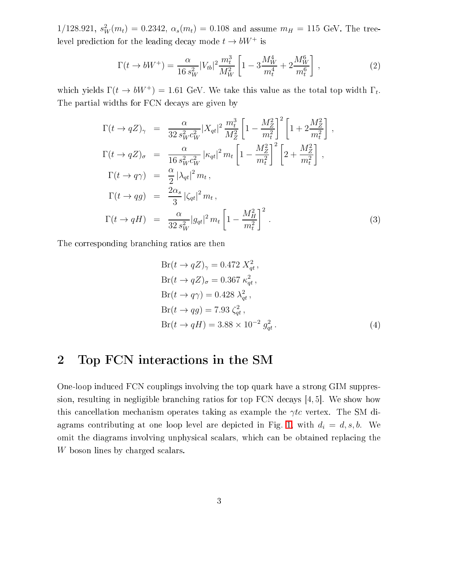$1/128.921, s_W^2(m_t) = 0.2342, \alpha_s(m_t) = 0.108$  and assume  $m_H = 115$  GeV. The treelevel prediction for the leading decay mode  $t \to bW^+$  is

$$
\Gamma(t \to bW^+) = \frac{\alpha}{16 s_W^2} |V_{tb}|^2 \frac{m_t^3}{M_W^2} \left[ 1 - 3 \frac{M_W^4}{m_t^4} + 2 \frac{M_W^6}{m_t^6} \right] ,\qquad (2)
$$

which yields  $\Gamma(t \to bW^+) = 1.61$  GeV. We take this value as the total top width  $\Gamma_t$ . The partial widths for FCN de
ays are given by

$$
\Gamma(t \to qZ)_{\gamma} = \frac{\alpha}{32 s_W^2 c_W^2} |X_{qt}|^2 \frac{m_t^3}{M_Z^2} \left[ 1 - \frac{M_Z^2}{m_t^2} \right]^2 \left[ 1 + 2 \frac{M_Z^2}{m_t^2} \right],
$$
  
\n
$$
\Gamma(t \to qZ)_{\sigma} = \frac{\alpha}{16 s_W^2 c_W^2} |\kappa_{qt}|^2 m_t \left[ 1 - \frac{M_Z^2}{m_t^2} \right]^2 \left[ 2 + \frac{M_Z^2}{m_t^2} \right],
$$
  
\n
$$
\Gamma(t \to q\gamma) = \frac{\alpha}{2} |\lambda_{qt}|^2 m_t,
$$
  
\n
$$
\Gamma(t \to qB) = \frac{2\alpha_s}{3} |\zeta_{qt}|^2 m_t,
$$
  
\n
$$
\Gamma(t \to qH) = \frac{\alpha}{32 s_W^2} |g_{qt}|^2 m_t \left[ 1 - \frac{M_H^2}{m_t^2} \right]^2.
$$
\n(3)

The corresponding branching ratios are then

<span id="page-2-1"></span>
$$
Br(t \to qZ)_{\gamma} = 0.472 X_{qt}^2,
$$
  
\n
$$
Br(t \to qZ)_{\sigma} = 0.367 \kappa_{qt}^2,
$$
  
\n
$$
Br(t \to q\gamma) = 0.428 \lambda_{qt}^2,
$$
  
\n
$$
Br(t \to qg) = 7.93 \zeta_{qt}^2,
$$
  
\n
$$
Br(t \to qH) = 3.88 \times 10^{-2} g_{qt}^2.
$$
\n(4)

### <span id="page-2-0"></span>2 Top FCN intera
tions in the SM

One-loop indu
ed FCN ouplings involving the top quark have a strong GIM suppression, resulting in negligible branching ratios for top FCN decays  $[4,5]$ . We show how this cancellation mechanism operates taking as example the  $\gamma tc$  vertex. The SM di-agrams contributing at one loop level are depicted in Fig. [1,](#page-3-0) with  $d_i = d, s, b$ . We omit the diagrams involving unphysical scalars, which can be obtained replacing the W boson lines by charged scalars.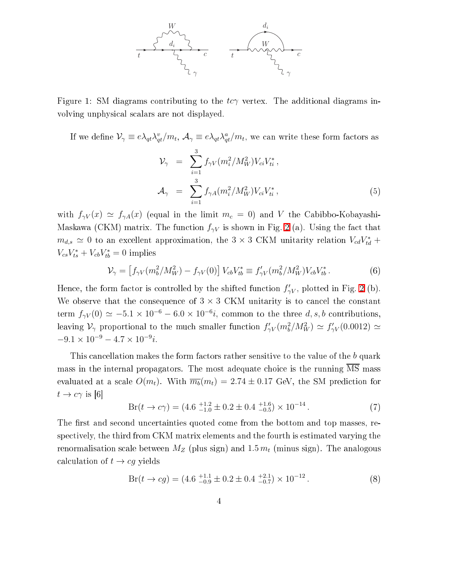

<span id="page-3-0"></span>Figure 1: SM diagrams contributing to the  $tc\gamma$  vertex. The additional diagrams involving unphysi
al s
alars are not displayed.

If we define  $\mathcal{V}_\gamma \equiv e\lambda_{qt}\lambda_{qt}^v/m_t$ ,  $\mathcal{A}_\gamma \equiv e\lambda_{qt}\lambda_{qt}^a/m_t$ , we can write these form factors as 3

$$
\mathcal{V}_{\gamma} = \sum_{i=1}^{3} f_{\gamma V} (m_i^2 / M_W^2) V_{ci} V_{ti}^*,
$$
  

$$
\mathcal{A}_{\gamma} = \sum_{i=1}^{3} f_{\gamma A} (m_i^2 / M_W^2) V_{ci} V_{ti}^*,
$$
 (5)

with  $f_{\gamma V}(x) \simeq f_{\gamma A}(x)$  (equal in the limit  $m_c = 0$ ) and V the Cabibbo-Kobayashi-Maskawa (CKM) matrix. The function  $f_{\gamma V}$  is shown in Fig. [2](#page-4-1) (a). Using the fact that  $m_{d,s} \simeq 0$  to an excellent approximation, the 3 × 3 CKM unitarity relation  $V_{cd}V_{td}^*$  +  $V_{cs}V_{ts}^* + V_{cb}V_{tb}^* = 0$  implies

<span id="page-3-3"></span>
$$
\mathcal{V}_{\gamma} = \left[ f_{\gamma V}(m_b^2 / M_W^2) - f_{\gamma V}(0) \right] V_{cb} V_{tb}^* \equiv f_{\gamma V}'(m_b^2 / M_W^2) V_{cb} V_{tb}^* \,. \tag{6}
$$

Hence, the form factor is controlled by the shifted function  $f'_{\gamma}$  $\gamma V$ , plotted in Fig. [2](#page-4-1) (b). We observe that the consequence of  $3 \times 3$  CKM unitarity is to cancel the constant term  $f_{\gamma V}(0) \simeq -5.1 \times 10^{-6} - 6.0 \times 10^{-6}i$ , common to the three d, s, b contributions, leaving  $\mathcal{V}_\gamma$  proportional to the much smaller function  $f'_{\gamma V}(m_b^2/M_W^2) \simeq f'_{\gamma V}(0.0012) \simeq$  $-9.1 \times 10^{-9} - 4.7 \times 10^{-9}i.$ 

<span id="page-3-1"></span>This cancellation makes the form factors rather sensitive to the value of the b quark mass in the internal propagators. The most adequate choice is the running MS mass evaluated at a scale  $O(m_t)$ . With  $\overline{m_b}(m_t) = 2.74 \pm 0.17$  GeV, the SM prediction for  $t \to c\gamma$  is [6]

$$
Br(t \to c\gamma) = (4.6 \, {}^{+1.2}_{-1.0} \pm 0.2 \pm 0.4 \, {}^{+1.6}_{-0.5}) \times 10^{-14} \,. \tag{7}
$$

The first and second uncertainties quoted come from the bottom and top masses, respe
tively, the third from CKM matrix elements and the fourth is estimated varying the renormalisation scale between  $M_Z$  (plus sign) and 1.5  $m_t$  (minus sign). The analogous calculation of  $t \to cg$  yields

<span id="page-3-2"></span>
$$
Br(t \to cg) = (4.6 \, \substack{+1.1 \\ -0.9} \pm 0.2 \pm 0.4 \, \substack{+2.1 \\ -0.7}) \times 10^{-12} \,. \tag{8}
$$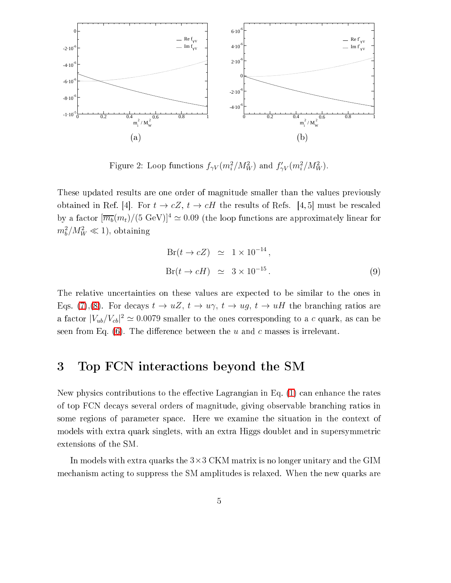

<span id="page-4-1"></span>Figure 2: Loop functions  $f_{\gamma V}(m_i^2/M_W^2)$  and  $f_{\gamma V}'(m_i^2/M_W^2)$ .

These updated results are one order of magnitude smaller than the values previously obtained in Ref. [4]. For  $t \to cZ$ ,  $t \to cH$  the results of Refs. [4, 5] must be rescaled by a factor  $[\overline{m_b}(m_t)/(5 \text{ GeV})]^4 \simeq 0.09$  (the loop functions are approximately linear for  $m_b^2/M_W^2 \ll 1$ , obtaining

$$
Br(t \to cZ) \simeq 1 \times 10^{-14},
$$
  
\n
$$
Br(t \to cH) \simeq 3 \times 10^{-15}.
$$
\n(9)

The relative un
ertainties on these values are expe
ted to be similar to the ones in Eqs. [\(7\)](#page-3-1),[\(8\)](#page-3-2). For decays  $t \to uZ$ ,  $t \to u\gamma$ ,  $t \to ug$ ,  $t \to uH$  the branching ratios are a factor  $|V_{ub}/V_{cb}|^2 \simeq 0.0079$  smaller to the ones corresponding to a c quark, as can be seen from Eq.  $(6)$ . The difference between the u and c masses is irrelevant.

## <span id="page-4-0"></span>3 Top FCN intera
tions beyond the SM

New physics contributions to the effective Lagrangian in Eq. [\(1\)](#page-1-0) can enhance the rates of top FCN de
ays several orders of magnitude, giving observable bran
hing ratios in some regions of parameter spa
e. Here we examine the situation in the ontext of models with extra quark singlets, with an extra Higgs doublet and in supersymmetri extensions of the SM.

In models with extra quarks the  $3\times3$  CKM matrix is no longer unitary and the GIM me
hanism a
ting to suppress the SM amplitudes is relaxed. When the new quarks are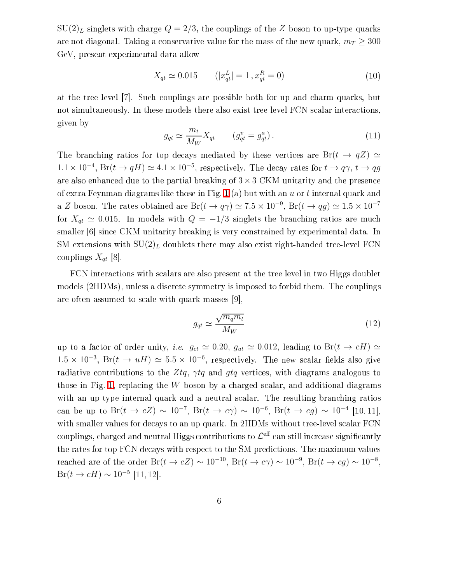$SU(2)_L$  singlets with charge  $Q = 2/3$ , the couplings of the Z boson to up-type quarks are not diagonal. Taking a conservative value for the mass of the new quark,  $m_T \geq 300$ GeV, present experimental data allow

$$
X_{qt} \simeq 0.015 \qquad (|x_{qt}^L| = 1, x_{qt}^R = 0)
$$
\n<sup>(10)</sup>

at the tree level [7]. Such couplings are possible both for up and charm quarks, but not simultaneously. In these models there also exist tree-level FCN s
alar intera
tions, given by

$$
g_{qt} \simeq \frac{m_t}{M_W} X_{qt} \qquad (g_{qt}^v = g_{qt}^a). \qquad (11)
$$

The branching ratios for top decays mediated by these vertices are  $Br(t \rightarrow qZ) \simeq$  $1.1 \times 10^{-4}$ , Br $(t \to qH) \simeq 4.1 \times 10^{-5}$ , respectively. The decay rates for  $t \to q\gamma$ ,  $t \to qg$ are also enhanced due to the partial breaking of  $3 \times 3$  CKM unitarity and the presence of extra Feynman diagrams like those in Fig. [1](#page-3-0) (a) but with an u or t internal quark and a Z boson. The rates obtained are  $Br(t \to q\gamma) \simeq 7.5 \times 10^{-9}$ ,  $Br(t \to qg) \simeq 1.5 \times 10^{-7}$ for  $X_{qt} \simeq 0.015$ . In models with  $Q = -1/3$  singlets the branching ratios are much smaller  $[6]$  since CKM unitarity breaking is very constrained by experimental data. In SM extensions with  $SU(2)_L$  doublets there may also exist right-handed tree-level FCN couplings  $X_{qt}$  [8].

FCN interactions with scalars are also present at the tree level in two Higgs doublet models (2HDMs), unless a discrete symmetry is imposed to forbid them. The couplings are often assumed to scale with quark masses  $[9]$ ,

$$
g_{qt} \simeq \frac{\sqrt{m_q m_t}}{M_W} \tag{12}
$$

up to a factor of order unity, *i.e.*  $g_{ct} \simeq 0.20$ ,  $g_{ut} \simeq 0.012$ , leading to Br( $t \to cH$ )  $\simeq$ 1.5 × 10<sup>-3</sup>, Br( $t \to uH$ ) ≈ 5.5 × 10<sup>-6</sup>, respectively. The new scalar fields also give radiative contributions to the Ztq,  $\gamma tq$  and gtq vertices, with diagrams analogous to those in Fig. [1,](#page-3-0) replacing the W boson by a charged scalar, and additional diagrams with an up-type internal quark and a neutral scalar. The resulting branching ratios can be up to Br( $t \to cZ$ ) ~ 10<sup>-7</sup>, Br( $t \to c\gamma$ ) ~ 10<sup>-6</sup>, Br( $t \to cg$ ) ~ 10<sup>-4</sup> [10, 11], with smaller values for decays to an up quark. In 2HDMs without tree-level scalar FCN couplings, charged and neutral Higgs contributions to  $\mathcal{L}^{\text{eff}}$  can still increase significantly the rates for top FCN decays with respect to the SM predictions. The maximum values reached are of the order  $Br(t \to cZ) \sim 10^{-10}$ ,  $Br(t \to c\gamma) \sim 10^{-9}$ ,  $Br(t \to cg) \sim 10^{-8}$ ,  $Br(t \to cH) \sim 10^{-5}$  [11, 12].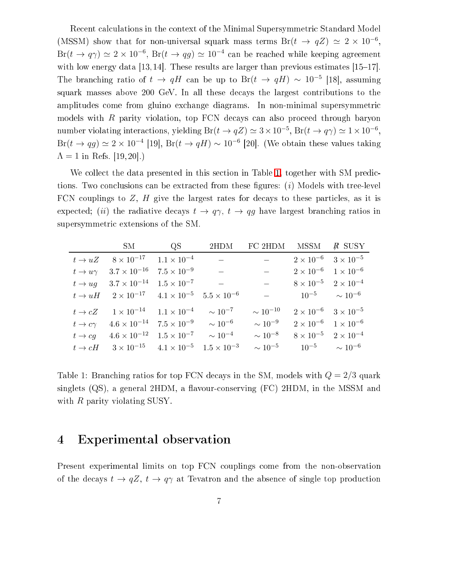Recent calculations in the context of the Minimal Supersymmetric Standard Model (MSSM) show that for non-universal squark mass terms  $Br(t \to qZ) \simeq 2 \times 10^{-6}$ ,  $Br(t \to q\gamma) \simeq 2 \times 10^{-6}$ ,  $Br(t \to qg) \simeq 10^{-4}$  can be reached while keeping agreement with low energy data [13, 14]. These results are larger than previous estimates  $[15-17]$ . The branching ratio of  $t \to qH$  can be up to Br $(t \to qH) \sim 10^{-5}$  [18], assuming squark masses above 200 GeV. In all these decays the largest contributions to the amplitudes come from gluino exchange diagrams. In non-minimal supersymmetric models with  $R$  parity violation, top  $FCN$  decays can also proceed through baryon number violating interactions, yielding  $Br(t \to qZ) \simeq 3 \times 10^{-5}$ ,  $Br(t \to q\gamma) \simeq 1 \times 10^{-6}$ ,  $Br(t \to qg) \simeq 2 \times 10^{-4}$  [19],  $Br(t \to qH) \sim 10^{-6}$  [20]. (We obtain these values taking  $\Lambda = 1$  in Refs. [19, 20].)

We collect the data presented in this section in Table [1,](#page-6-1) together with SM predictions. Two conclusions can be extracted from these figures:  $(i)$  Models with tree-level FCN couplings to  $Z$ ,  $H$  give the largest rates for decays to these particles, as it is expected; (*ii*) the radiative decays  $t \to q\gamma$ ,  $t \to qg$  have largest branching ratios in supersymmetri extensions of the SM.

|                | SM                                                            | $\rm{QS}$            | 2HDM                 | FC 2HDM                         | MSSM                                  | R SUSY |
|----------------|---------------------------------------------------------------|----------------------|----------------------|---------------------------------|---------------------------------------|--------|
| $t \to uZ$     | $8 \times 10^{-17}$ $1.1 \times 10^{-4}$                      |                      |                      |                                 | $2 \times 10^{-6}$ $3 \times 10^{-5}$ |        |
| $t\to u\gamma$ | $3.7 \times 10^{-16}$                                         | $7.5 \times 10^{-9}$ |                      |                                 | $2 \times 10^{-6}$ $1 \times 10^{-6}$ |        |
|                | $t \rightarrow uq$ $3.7 \times 10^{-14}$ $1.5 \times 10^{-7}$ |                      |                      | $\frac{1}{2}$                   | $8 \times 10^{-5}$ $2 \times 10^{-4}$ |        |
| $t \to uH$     | $2 \times 10^{-17}$ $4.1 \times 10^{-5}$ $5.5 \times 10^{-6}$ |                      |                      | $\frac{1}{2}$ and $\frac{1}{2}$ | $10^{-5} \sim 10^{-6}$                |        |
| $t \to cZ$     | $1 \times 10^{-14}$ $1.1 \times 10^{-4}$                      |                      | $\sim 10^{-7}$       | $\sim 10^{-10}$                 | $2 \times 10^{-6}$ $3 \times 10^{-5}$ |        |
| $t\to c\gamma$ | $4.6 \times 10^{-14}$                                         | $7.5 \times 10^{-9}$ | $\sim 10^{-6}$       | $\sim 10^{-9}$                  | $2 \times 10^{-6}$ 1 $\times 10^{-6}$ |        |
|                | $t \to cg$ $4.6 \times 10^{-12}$ $1.5 \times 10^{-7}$         |                      | $\sim 10^{-4}$       | $\sim 10^{-8}$                  | $8 \times 10^{-5}$ $2 \times 10^{-4}$ |        |
|                | $t \to cH$ $3 \times 10^{-15}$ $4.1 \times 10^{-5}$           |                      | $1.5 \times 10^{-3}$ | $\sim 10^{-5}$                  | $10^{-5} \sim 10^{-6}$                |        |

<span id="page-6-1"></span>Table 1: Branching ratios for top FCN decays in the SM, models with  $Q = 2/3$  quark singlets  $(QS)$ , a general 2HDM, a flavour-conserving  $(FC)$  2HDM, in the MSSM and with  $R$  parity violating SUSY.

### <span id="page-6-0"></span>4 Experimental observation

Present experimental limits on top FCN ouplings ome from the non-observation of the decays  $t \to qZ$ ,  $t \to q\gamma$  at Tevatron and the absence of single top production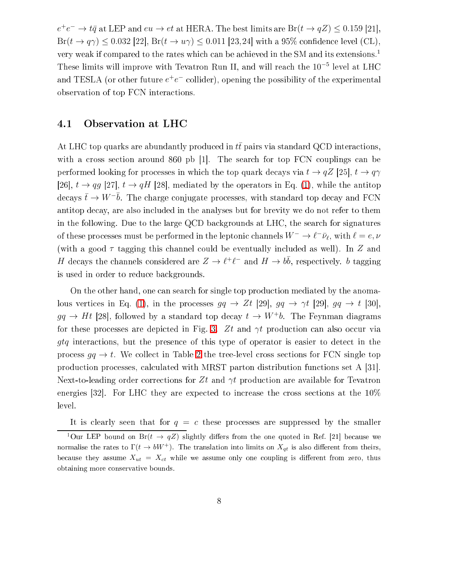$e^+e^-\rightarrow t\bar{q}$  at LEP and  $eu\rightarrow et$  at HERA. The best limits are  ${\rm Br}(t\rightarrow qZ)\leq 0.159$  [21],  $Br(t \to q\gamma) \leq 0.032$  [22],  $Br(t \to u\gamma) \leq 0.011$  [23, 24] with a 95% confidence level (CL), very weak if compared to the rates which can be achieved in the SM and its extensions.<sup>1</sup> These limits will improve with Tevatron Run II, and will reach the 10<sup>-5</sup> level at LHC and TESLA (or other future  $e^+e^-$  collider), opening the possibility of the experimental observation of top FCN intera
tions.

#### 4.1 Observation at LHC

At LHC top quarks are abundantly produced in  $t\bar{t}$  pairs via standard QCD interactions, with a cross section around 860 pb  $|1|$ . The search for top FCN couplings can be performed looking for processes in which the top quark decays via  $t \to qZ$  [25],  $t \to q\gamma$ [26],  $t \rightarrow qg$  [27],  $t \rightarrow qH$  [28], mediated by the operators in Eq. [\(1\)](#page-1-0), while the antitop decays  $\bar{t} \to W^-b$ . The charge conjugate processes, with standard top decay and FCN antitop decay, are also included in the analyses but for brevity we do not refer to them in the following. Due to the large QCD ba
kgrounds at LHC, the sear
h for signatures of these processes must be performed in the leptonic channels  $W^-\to \ell^-\bar\nu_\ell$ , with  $\ell=e,\nu$ (with a good  $\tau$  tagging this channel could be eventually included as well). In Z and H decays the channels considered are  $Z \to \ell^+ \ell^-$  and  $H \to b\bar{b}$ , respectively. b tagging is used in order to redu
e ba
kgrounds.

On the other hand, one can search for single top production mediated by the anoma-lous vertices in Eq. [\(1\)](#page-1-0), in the processes  $gq \to Zt$  [29],  $gq \to \gamma t$  [29],  $gq \to t$  [30],  $gg \to Ht$  [28], followed by a standard top decay  $t \to W^+b$ . The Feynman diagrams for these processes are depicted in Fig. [3.](#page-8-0) Zt and  $\gamma t$  production can also occur via gtq interactions, but the presence of this type of operator is easier to detect in the process  $gq \to t$ . We collect in Table [2](#page-8-1) the tree-level cross sections for FCN single top production processes, calculated with MRST parton distribution functions set A [31]. Next-to-leading order corrections for Zt and  $\gamma t$  production are available for Tevatron energies [32]. For LHC they are expected to increase the cross sections at the  $10\%$ level.

It is clearly seen that for  $q = c$  these processes are suppressed by the smaller <sup>1</sup>Our LEP bound on Br( $t \to qZ$ ) slightly differs from the one quoted in Ref. [21] because we normalise the rates to  $\Gamma(t \to bW^+)$ . The translation into limits on  $X_{qt}$  is also different from theirs, because they assume  $X_{ut} = X_{ct}$  while we assume only one coupling is different from zero, thus obtaining more onservative bounds.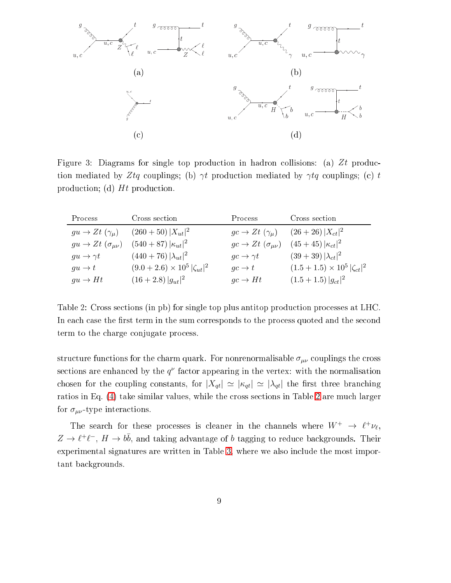

<span id="page-8-0"></span>Figure 3: Diagrams for single top production in hadron collisions: (a)  $Zt$  production mediated by Ztq couplings; (b)  $\gamma t$  production mediated by  $\gamma t$ q couplings; (c) t production; (d) Ht production.

| Process                          | Cross section                            | Process                                 | Cross section                        |
|----------------------------------|------------------------------------------|-----------------------------------------|--------------------------------------|
| $gu \to Zt$ $(\gamma_\mu)$       | $(260+50)  X_{ut} ^2$                    | $gc \rightarrow Zt$ $(\gamma_{\mu})$    | $(26+26) X_{ct} ^2$                  |
| $gu \to Zt \; (\sigma_{\mu\nu})$ | $(540+87)  \kappa_{ut} ^2$               | $gc \rightarrow Zt$ $(\sigma_{\mu\nu})$ | $(45+45)  \kappa_{ct} ^2$            |
| $gu \to \gamma t$                | $(440+76)  \lambda_{ut} ^2$              | $qc \rightarrow \gamma t$               | $(39+39)  \lambda_{ct} ^2$           |
| $qu \rightarrow t$               | $(9.0 + 2.6) \times 10^5  \zeta_{ut} ^2$ | $gc \rightarrow t$                      | $(1.5+1.5)\times10^5  \zeta_{ct} ^2$ |
| $gu \to Ht$                      | $(16+2.8)  g_{ut} ^2$                    | $qc \rightarrow Ht$                     | $(1.5+1.5)  g_{ct} ^2$               |

<span id="page-8-1"></span>Table 2: Cross sections (in pb) for single top plus antitop production processes at LHC. In each case the first term in the sum corresponds to the process quoted and the second term to the harge onjugate pro
ess.

structure functions for the charm quark. For nonrenormalisable  $\sigma_{\mu\nu}$  couplings the cross sections are enhanced by the  $q^{\nu}$  factor appearing in the vertex: with the normalisation chosen for the coupling constants, for  $|X_{qt}| \simeq |\kappa_{qt}| \simeq |\lambda_{qt}|$  the first three branching ratios in Eq. [\(4\)](#page-2-1) take similar values, while the ross se
tions in Table [2](#page-8-1) are mu
h larger for  $\sigma_{\mu\nu}$ -type interactions.

The search for these processes is cleaner in the channels where  $W^+ \rightarrow \ell^+ \nu_{\ell}$ ,  $Z \to \ell^+ \ell^-$ ,  $H \to b\bar b$ , and taking advantage of b tagging to reduce backgrounds. Their experimental signatures are written in Table [3,](#page-9-0) where we also include the most important ba
kgrounds.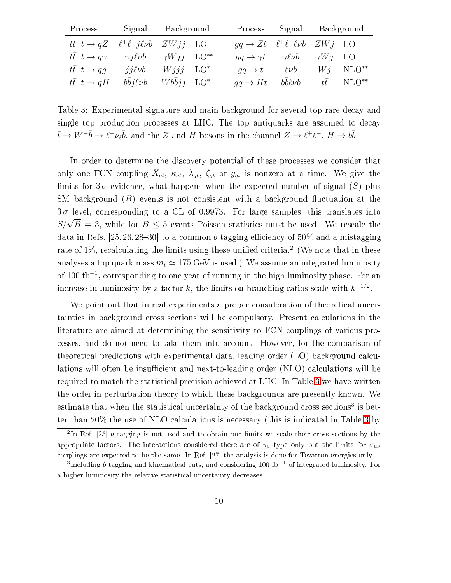| Process                                                              | Signal Background                                   |  | Process Signal Background                                            |                                                                                      |                        |
|----------------------------------------------------------------------|-----------------------------------------------------|--|----------------------------------------------------------------------|--------------------------------------------------------------------------------------|------------------------|
| $t\bar{t}$ , $t \to qZ$ $\ell^+\ell^- j\ell\nu b$ $ZWjj$ LO          |                                                     |  |                                                                      | $qq \rightarrow Zt$ $\ell^+\ell^-\ell\nu b$ $ZWj$ LO                                 |                        |
| $t\bar{t}, t \to q\gamma$ $\gamma j\ell\nu b$ $\gamma Wjj$ $LO^{**}$ |                                                     |  |                                                                      | $qq \rightarrow \gamma t \qquad \gamma \ell \nu b \qquad \gamma W i \quad \text{LO}$ |                        |
| $t\bar{t}$ , $t \to qq$                                              | $ii\ell\nu b$ $Wiii$ $LO^*$                         |  | $qq \rightarrow t$                                                   | $\ell\nu b$                                                                          | $Wi$ NLO <sup>**</sup> |
| $t\bar{t}$ , $t \to qH$                                              | $b\bar{b}j\ell\nu b$ W $b\bar{b}jj$ LO <sup>*</sup> |  | $qq \rightarrow Ht$ $b\bar{b}\ell\nu b$ $t\bar{t}$ NLO <sup>**</sup> |                                                                                      |                        |

<span id="page-9-0"></span>Table 3: Experimental signature and main ba
kground for several top rare de
ay and single top production processes at LHC. The top antiquarks are assumed to decay  $\bar{t} \to W^- \bar{b} \to \ell^- \bar{\nu}_\ell \bar{b}$ , and the Z and H bosons in the channel  $Z \to \ell^+ \ell^-$ ,  $H \to b\bar{b}$ .

In order to determine the discovery potential of these processes we consider that only one FCN coupling  $X_{qt}$ ,  $\kappa_{qt}$ ,  $\lambda_{qt}$ ,  $\zeta_{qt}$  or  $g_{qt}$  is nonzero at a time. We give the limits for  $3\sigma$  evidence, what happens when the expected number of signal (S) plus SM background  $(B)$  events is not consistent with a background fluctuation at the  $3\sigma$  level, corresponding to a CL of 0.9973. For large samples, this translates into  $S/\sqrt{B} = 3$ , while for  $B \le 5$  events Poisson statistics must be used. We rescale the data in Refs. [25, 26, 28–30] to a common b tagging efficiency of  $50\%$  and a mistagging rate of 1%, recalculating the limits using these unified criteria." (We note that in these analyses a top quark mass  $m_t \simeq 175$  GeV is used.) We assume an integrated luminosity of 100 fb<sup>-1</sup>, corresponding to one year of running in the high luminosity phase. For an increase in luminosity by a factor  $k$ , the limits on branching ratios scale with  $k^{-1/2}$ .

We point out that in real experiments a proper consideration of theoretical uncertainties in background cross sections will be compulsory. Present calculations in the literature are aimed at determining the sensitivity to FCN ouplings of various pro cesses, and do not need to take them into account. However, for the comparison of theoretical predictions with experimental data, leading order (LO) background calculations will often be insufficient and next-to-leading order (NLO) calculations will be required to match the statistical precision achieved at LHC. In Table [3](#page-9-0) we have written the order in perturbation theory to whi
h these ba
kgrounds are presently known. We estimate that when the statistical uncertainty of the background cross sections<sup>-</sup> is bet-ter than 20% the use of NLO calculations is necessary (this is indicated in Table [3](#page-9-0) by

<sup>&</sup>lt;sup>2</sup>In Ref. [25] b tagging is not used and to obtain our limits we scale their cross sections by the appropriate factors. The interactions considered there are of  $\gamma_\mu$  type only but the limits for  $\sigma_{\mu\nu}$ couplings are expected to be the same. In Ref. [27] the analysis is done for Tevatron energies only.

<sup>&</sup>lt;sup>3</sup>Including *b* tagging and kinematical cuts, and considering 100 fb<sup>-1</sup> of integrated luminosity. For a higher luminosity the relative statistical uncertainty decreases.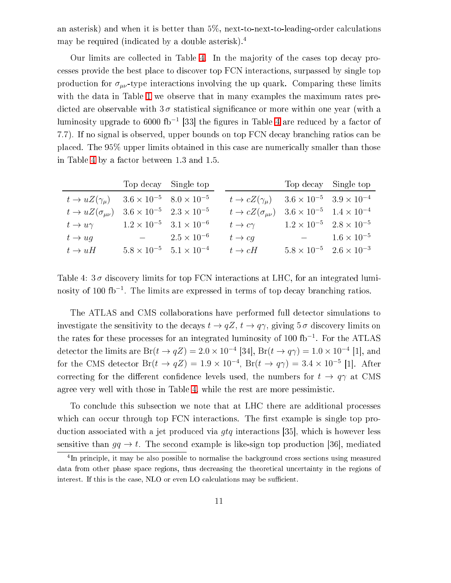an asterisk) and when it is better than  $5\%$ , next-to-next-to-leading-order calculations may be required (indicated by a double asterisk).<sup>4</sup>

Our limits are olle
ted in Table [4.](#page-10-0) In the majority of the ases top de
ay pro esses provide the best pla
e to dis
over top FCN intera
tions, surpassed by single top production for  $\sigma_{\mu\nu}$ -type interactions involving the up quark. Comparing these limits with the data in Table [1](#page-6-1) we observe that in many examples the maximum rates predicted are observable with  $3\sigma$  statistical significance or more within one year (with a luminosity upgrade to 6000 fb<sup>-1</sup> [33] the figures in Table [4](#page-10-0) are reduced by a factor of 7.7). If no signal is observed, upper bounds on top FCN de
ay bran
hing ratios an be pla
ed. The 95% upper limits obtained in this ase are numeri
ally smaller than those in Table [4](#page-10-0) by a fa
tor between 1.3 and 1.5.

|                                                                       |                       | Top decay Single top                      |                                                                       | Top decay Single top                      |  |
|-----------------------------------------------------------------------|-----------------------|-------------------------------------------|-----------------------------------------------------------------------|-------------------------------------------|--|
| $t \to uZ(\gamma_\mu)$ $3.6 \times 10^{-5}$ $8.0 \times 10^{-5}$      |                       |                                           | $t \to cZ(\gamma_{\mu})$ $3.6 \times 10^{-5}$ $3.9 \times 10^{-4}$    |                                           |  |
| $t \to uZ(\sigma_{\mu\nu})$ $3.6 \times 10^{-5}$ $2.3 \times 10^{-5}$ |                       |                                           | $t \to cZ(\sigma_{\mu\nu})$ $3.6 \times 10^{-5}$ $1.4 \times 10^{-4}$ |                                           |  |
| $t \to u\gamma$ $1.2 \times 10^{-5}$ $3.1 \times 10^{-6}$             |                       |                                           | $t\to c\gamma$                                                        | $1.2 \times 10^{-5}$ $2.8 \times 10^{-5}$ |  |
| $t \rightarrow ug$                                                    | $-2.5 \times 10^{-6}$ |                                           | $t\rightarrow cg$                                                     | $- 1.6 \times 10^{-5}$                    |  |
| $t \to uH$                                                            |                       | $5.8 \times 10^{-5}$ $5.1 \times 10^{-4}$ | $t \to cH$                                                            | $5.8 \times 10^{-5}$ $2.6 \times 10^{-3}$ |  |
|                                                                       |                       |                                           |                                                                       |                                           |  |

<span id="page-10-0"></span>Table 4:  $3\sigma$  discovery limits for top FCN interactions at LHC, for an integrated luminosity of 100 fb<sup>-1</sup>. The limits are expressed in terms of top decay branching ratios.

The ATLAS and CMS ollaborations have performed full dete
tor simulations to investigate the sensitivity to the decays  $t \to qZ$ ,  $t \to q\gamma$ , giving  $5\sigma$  discovery limits on the rates for these processes for an integrated luminosity of 100 fb<sup>-1</sup>. For the ATLAS detector the limits are  $Br(t \to qZ) = 2.0 \times 10^{-4}$  [34],  $Br(t \to q\gamma) = 1.0 \times 10^{-4}$  [1], and for the CMS detector  $Br(t \to qZ) = 1.9 \times 10^{-4}$ ,  $Br(t \to q\gamma) = 3.4 \times 10^{-5}$  [1]. After correcting for the different confidence levels used, the numbers for  $t \to q\gamma$  at CMS agree very well with those in Table [4,](#page-10-0) while the rest are more pessimisti
.

To conclude this subsection we note that at LHC there are additional processes which can occur through top FCN interactions. The first example is single top production associated with a jet produced via  $qtq$  interactions [35], which is however less sensitive than  $gq \to t$ . The second example is like-sign top production [36], mediated

The principle, it may be also possible to normalise the background cross sections using measured data from other phase space regions, thus decreasing the theoretical uncertainty in the regions of interest. If this is the case, NLO or even LO calculations may be sufficient.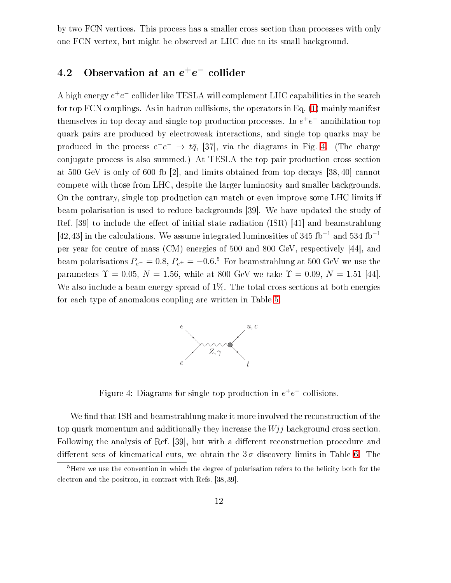by two FCN vertices. This process has a smaller cross section than processes with only one FCN vertex, but might be observed at LHC due to its small ba
kground.

## 4.2 Observation at an  $e^+e^-$  collider

A high energy  $e^+e^-$  collider like TESLA will complement LHC capabilities in the search for top FCN couplings. As in hadron collisions, the operators in Eq. [\(1\)](#page-1-0) mainly manifest themselves in top decay and single top production processes. In  $e^+e^-$  annihilation top quark pairs are produ
ed by ele
troweak intera
tions, and single top quarks may be produced in the process  $e^+e^- \rightarrow t\bar{q}$ , [37], via the diagrams in Fig. [4.](#page-11-0) (The charge conjugate process is also summed.) At TESLA the top pair production cross section at  $500 \text{ GeV}$  is only of 600 fb [2], and limits obtained from top decays [38, 40] cannot ompete with those from LHC, despite the larger luminosity and smaller ba
kgrounds. On the ontrary, single top produ
tion an mat
h or even improve some LHC limits if beam polarisation is used to reduce backgrounds [39]. We have updated the study of  $\text{Ref. } [39]$  to include the effect of initial state radiation (ISR) [41] and beamstrahlung [42,43] in the calculations. We assume integrated luminosities of 345 fb<sup>-1</sup> and 534 fb<sup>-1</sup> per year for centre of mass (CM) energies of 500 and 800 GeV, respectively [44], and beam polarisations  $P_{e^-} = 0.8, P_{e^+} = -0.6$ .<sup>5</sup> For beamstrahlung at 500 GeV we use the parameters  $\Upsilon = 0.05, N = 1.56$ , while at 800 GeV we take  $\Upsilon = 0.09, N = 1.51$  [44]. We also include a beam energy spread of 1%. The total cross sections at both energies for ea
h type of anomalous oupling are written in Table [5.](#page-12-0)



<span id="page-11-0"></span>Figure 4: Diagrams for single top production in  $e^+e^-$  collisions.

We find that ISR and beamstrahlung make it more involved the reconstruction of the top quark momentum and additionally they increase the  $Wjj$  background cross section. Following the analysis of Ref. [39], but with a different reconstruction procedure and different sets of kinematical cuts, we obtain the  $3\sigma$  discovery limits in Table [6.](#page-12-1) The

<sup>&</sup>lt;sup>5</sup>Here we use the convention in which the degree of polarisation refers to the helicity both for the electron and the positron, in contrast with Refs. [38, 39].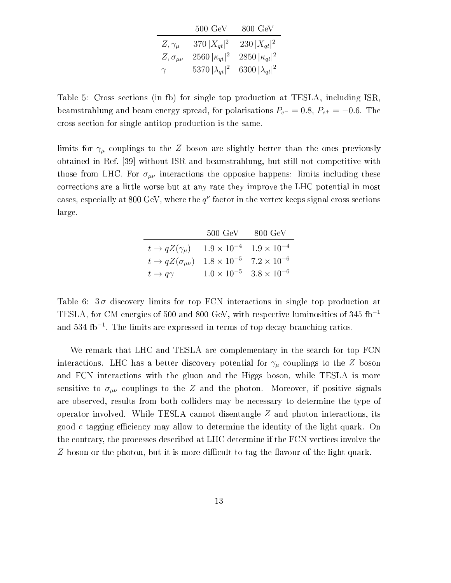|                      | $500\,\,{\rm GeV}\,$    | $800 \text{ GeV}$       |
|----------------------|-------------------------|-------------------------|
| $Z,\gamma_\mu$       | $370  X_{at} ^2$        | $230  X_{qt} ^2$        |
| $Z, \sigma_{\mu\nu}$ | 2560 $ \kappa_{at} ^2$  | 2850 $ \kappa_{qt} ^2$  |
| $\gamma$             | 5370 $ \lambda_{qt} ^2$ | 6300 $ \lambda_{at} ^2$ |

<span id="page-12-0"></span>Table 5: Cross se
tions (in fb) for single top produ
tion at TESLA, in
luding ISR, beamstrahlung and beam energy spread, for polarisations  $P_{e^-} = 0.8$ ,  $P_{e^+} = -0.6$ . The ross se
tion for single antitop produ
tion is the same.

limits for  $\gamma_\mu$  couplings to the Z boson are slightly better than the ones previously obtained in Ref. [39] without ISR and beamstrahlung, but still not competitive with those from LHC. For  $\sigma_{\mu\nu}$  interactions the opposite happens: limits including these orre
tions are a little worse but at any rate they improve the LHC potential in most cases, especially at 800 GeV, where the  $q^{\nu}$  factor in the vertex keeps signal cross sections large.

|                             | $500 \text{ GeV}$ | -800 GeV                                  |
|-----------------------------|-------------------|-------------------------------------------|
| $t \to qZ(\gamma_\mu)$      |                   | $1.9 \times 10^{-4}$ $1.9 \times 10^{-4}$ |
| $t \to qZ(\sigma_{\mu\nu})$ |                   | $1.8 \times 10^{-5}$ $7.2 \times 10^{-6}$ |
| $t\to q\gamma$              |                   | $1.0 \times 10^{-5}$ $3.8 \times 10^{-6}$ |

<span id="page-12-1"></span>Table 6:  $3\sigma$  discovery limits for top FCN interactions in single top production at TESLA, for CM energies of 500 and 800 GeV, with respective luminosities of 345 fb<sup>-1</sup> and 534 fb<sup>-1</sup>. The limits are expressed in terms of top decay branching ratios.

We remark that LHC and TESLA are complementary in the search for top FCN interactions. LHC has a better discovery potential for  $\gamma_\mu$  couplings to the Z boson and FCN intera
tions with the gluon and the Higgs boson, while TESLA is more sensitive to  $\sigma_{\mu\nu}$  couplings to the Z and the photon. Moreover, if positive signals are observed, results from both olliders may be ne
essary to determine the type of operator involved. While TESLA cannot disentangle  $Z$  and photon interactions, its good c tagging efficiency may allow to determine the identity of the light quark. On the ontrary, the pro
esses des
ribed at LHC determine if the FCN verti
es involve the Z boson or the photon, but it is more difficult to tag the flavour of the light quark.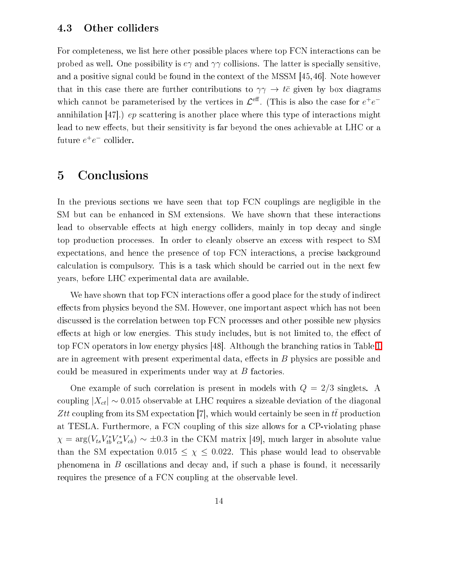#### 4.3 Other olliders

For completeness, we list here other possible places where top FCN interactions can be probed as well. One possibility is  $e\gamma$  and  $\gamma\gamma$  collisions. The latter is specially sensitive, and a positive signal could be found in the context of the MSSM  $[45, 46]$ . Note however that in this case there are further contributions to  $\gamma\gamma \to t\bar{c}$  given by box diagrams which cannot be parameterised by the vertices in  $\mathcal{L}^{\text{eff}}$ . (This is also the case for  $e^+e^$ annihilation  $[47]$ .) ep scattering is another place where this type of interactions might lead to new effects, but their sensitivity is far beyond the ones achievable at LHC or a future  $e^+e^-$  collider.

## <span id="page-13-0"></span>5 Con
lusions

In the previous sections we have seen that top FCN couplings are negligible in the SM but can be enhanced in SM extensions. We have shown that these interactions lead to observable effects at high energy colliders, mainly in top decay and single top production processes. In order to cleanly observe an excess with respect to SM expectations, and hence the presence of top FCN interactions, a precise background al
ulation is ompulsory. This is a task whi
h should be arried out in the next few years, before LHC experimental data are available.

We have shown that top FCN interactions offer a good place for the study of indirect effects from physics beyond the SM. However, one important aspect which has not been discussed is the correlation between top FCN processes and other possible new physics effects at high or low energies. This study includes, but is not limited to, the effect of top FCN operators in low energy physics [48]. Although the branching ratios in Table [1](#page-6-1) are in agreement with present experimental data, effects in  $B$  physics are possible and could be measured in experiments under way at  $B$  factories.

One example of such correlation is present in models with  $Q = 2/3$  singlets. A coupling  $|X_{ct}| \sim 0.015$  observable at LHC requires a sizeable deviation of the diagonal Ztt coupling from its SM expectation [7], which would certainly be seen in tt production at TESLA. Furthermore, a FCN oupling of this size allows for a CP-violating phase  $\chi = \arg(V_{ts} V_{tb}^* V_{cs}^* V_{cb}) \sim \pm 0.3$  in the CKM matrix [49], much larger in absolute value than the SM expectation  $0.015 \leq \chi \leq 0.022$ . This phase would lead to observable phenomena in B oscillations and decay and, if such a phase is found, it necessarily requires the presence of a FCN coupling at the observable level.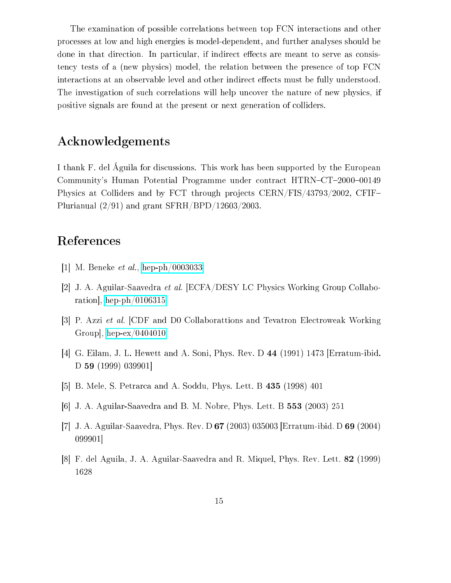The examination of possible orrelations between top FCN intera
tions and other pro
esses at low and high energies is model-dependent, and further analyses should be done in that direction. In particular, if indirect effects are meant to serve as consisten
y tests of a (new physi
s) model, the relation between the presen
e of top FCN interactions at an observable level and other indirect effects must be fully understood. The investigation of such correlations will help uncover the nature of new physics, if positive signals are found at the present or next generation of olliders.

## A
knowledgements

I thank F. del Águila for dis
ussions. This work has been supported by the European Community's Human Potential Programme under contract HTRN-CT-2000-00149 Physics at Colliders and by FCT through projects CERN/FIS/43793/2002, CFIF-Plurianual (2/91) and grant SFRH/BPD/12603/2003.

## Referen
es

- [1] M. Beneke  $et \ al.$ , [hep-ph/0003033](http://arxiv.org/abs/hep-ph/0003033)
- [2] J. A. Aguilar-Saavedra *et al.* [ECFA/DESY LC Physics Working Group Collaboration, [hep-ph/0106315](http://arxiv.org/abs/hep-ph/0106315)
- [3] P. Azzi *et al.* [CDF and D0 Collaborattions and Tevatron Electroweak Working Group, [hep-ex/0404010](http://arxiv.org/abs/hep-ex/0404010)
- [4] G. Eilam, J. L. Hewett and A. Soni, Phys. Rev. D  $44$  (1991) 1473 [Erratum-ibid.  $D$  59 (1999) 039901
- [5] B. Mele, S. Petrarca and A. Soddu, Phys. Lett. B 435 (1998) 401
- [6] J. A. Aguilar-Saavedra and B. M. Nobre, Phys. Lett. B  $553$  (2003) 251
- [7] J. A. Aguilar-Saavedra, Phys. Rev. D  $67$  (2003) 035003 [Erratum-ibid. D  $69$  (2004) 099901 $\mid$
- [8] F. del Aguila, J. A. Aguilar-Saavedra and R. Miquel, Phys. Rev. Lett. 82 (1999) 1628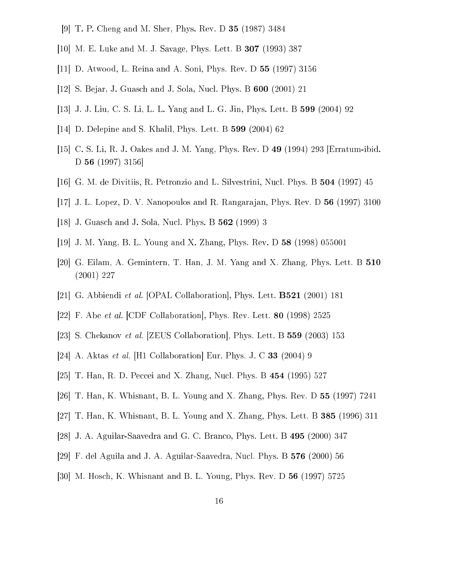- [9] T. P. Cheng and M. Sher, Phys. Rev. D **35** (1987) 3484
- [10] M. E. Luke and M. J. Savage, Phys. Lett. B (1993) 387
- [11] D. Atwood, L. Reina and A. Soni, Phys. Rev. D (1997) 3156
- [12] S. Bejar, J. Guasch and J. Sola, Nucl. Phys. B 600 (2001) 21
- [13] J. J. Liu, C. S. Li, L. L. Yang and L. G. Jin, Phys. Lett. B (2004) 92
- [14] D. Delepine and S. Khalil, Phys. Lett. B (2004) 62
- [15] C. S. Li, R. J. Oakes and J. M. Yang, Phys. Rev. D 49 (1994) 293 [Erratum-ibid. D 56  $(1997)$  3156
- [16] G. M. de Divitiis, R. Petronzio and L. Silvestrini, Nucl. Phys. B (1997) 45
- [17] J. L. Lopez, D. V. Nanopoulos and R. Rangarajan, Phys. Rev. D (1997) 3100
- [18] J. Guasch and J. Sola, Nucl. Phys. B **562** (1999) 3
- [19] J. M. Yang, B. L. Young and X. Zhang, Phys. Rev. D (1998) 055001
- [20] G. Eilam, A. Gemintern, T. Han, J. M. Yang and X. Zhang, Phys. Lett. B (2001) 227
- [21] G. Abbiendi *et al.* [OPAL Collaboration], Phys. Lett.  $\bf{B521}$  (2001) 181
- [22] F. Abe et al. [CDF Collaboration], Phys. Rev. Lett. 80 (1998) 2525
- [23] S. Chekanov et al. [ZEUS Collaboration], Phys. Lett. B (2003) 153
- [24] A. Aktas *et al.* [H1 Collaboration] Eur. Phys. J. C **33** (2004) 9
- [25] T. Han, R. D. Peccei and X. Zhang, Nucl. Phys. B (1995) 527
- [26] T. Han, K. Whisnant, B. L. Young and X. Zhang, Phys. Rev. D (1997) 7241
- [27] T. Han, K. Whisnant, B. L. Young and X. Zhang, Phys. Lett. B (1996) 311
- [28] J. A. Aguilar-Saavedra and G. C. Branco, Phys. Lett. B (2000) 347
- [29] F. del Aguila and J. A. Aguilar-Saavedra, Nucl. Phys. B (2000) 56
- [30] M. Hosch, K. Whisnant and B. L. Young, Phys. Rev. D (1997) 5725